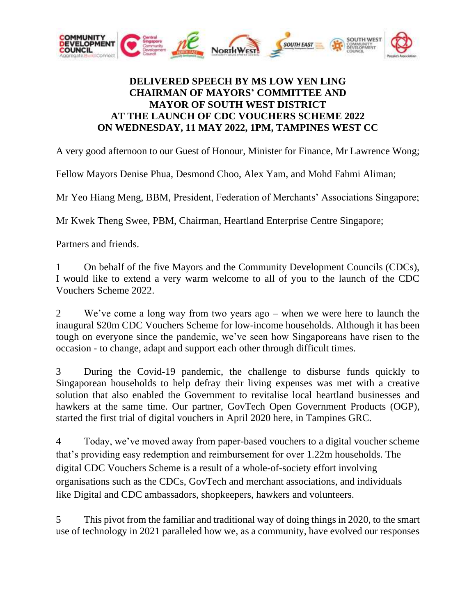

## **DELIVERED SPEECH BY MS LOW YEN LING CHAIRMAN OF MAYORS' COMMITTEE AND MAYOR OF SOUTH WEST DISTRICT AT THE LAUNCH OF CDC VOUCHERS SCHEME 2022 ON WEDNESDAY, 11 MAY 2022, 1PM, TAMPINES WEST CC**

A very good afternoon to our Guest of Honour, Minister for Finance, Mr Lawrence Wong;

Fellow Mayors Denise Phua, Desmond Choo, Alex Yam, and Mohd Fahmi Aliman;

Mr Yeo Hiang Meng, BBM, President, Federation of Merchants' Associations Singapore;

Mr Kwek Theng Swee, PBM, Chairman, Heartland Enterprise Centre Singapore;

Partners and friends.

1 On behalf of the five Mayors and the Community Development Councils (CDCs), I would like to extend a very warm welcome to all of you to the launch of the CDC Vouchers Scheme 2022.

2 We've come a long way from two years ago – when we were here to launch the inaugural \$20m CDC Vouchers Scheme for low-income households. Although it has been tough on everyone since the pandemic, we've seen how Singaporeans have risen to the occasion - to change, adapt and support each other through difficult times.

3 During the Covid-19 pandemic, the challenge to disburse funds quickly to Singaporean households to help defray their living expenses was met with a creative solution that also enabled the Government to revitalise local heartland businesses and hawkers at the same time. Our partner, GovTech Open Government Products (OGP), started the first trial of digital vouchers in April 2020 here, in Tampines GRC.

4 Today, we've moved away from paper-based vouchers to a digital voucher scheme that's providing easy redemption and reimbursement for over 1.22m households. The digital CDC Vouchers Scheme is a result of a whole-of-society effort involving organisations such as the CDCs, GovTech and merchant associations, and individuals like Digital and CDC ambassadors, shopkeepers, hawkers and volunteers.

5 This pivot from the familiar and traditional way of doing things in 2020, to the smart use of technology in 2021 paralleled how we, as a community, have evolved our responses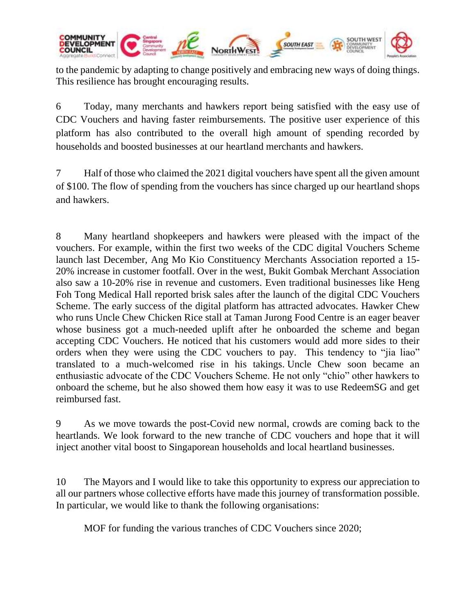

to the pandemic by adapting to change positively and embracing new ways of doing things. This resilience has brought encouraging results.

6 Today, many merchants and hawkers report being satisfied with the easy use of CDC Vouchers and having faster reimbursements. The positive user experience of this platform has also contributed to the overall high amount of spending recorded by households and boosted businesses at our heartland merchants and hawkers.

7 Half of those who claimed the 2021 digital vouchers have spent all the given amount of \$100. The flow of spending from the vouchers has since charged up our heartland shops and hawkers.

8 Many heartland shopkeepers and hawkers were pleased with the impact of the vouchers. For example, within the first two weeks of the CDC digital Vouchers Scheme launch last December, Ang Mo Kio Constituency Merchants Association reported a 15- 20% increase in customer footfall. Over in the west, Bukit Gombak Merchant Association also saw a 10-20% rise in revenue and customers. Even traditional businesses like Heng Foh Tong Medical Hall reported brisk sales after the launch of the digital CDC Vouchers Scheme. The early success of the digital platform has attracted advocates. Hawker Chew who runs Uncle Chew Chicken Rice stall at Taman Jurong Food Centre is an eager beaver whose business got a much-needed uplift after he onboarded the scheme and began accepting CDC Vouchers. He noticed that his customers would add more sides to their orders when they were using the CDC vouchers to pay. This tendency to "jia liao" translated to a much-welcomed rise in his takings. Uncle Chew soon became an enthusiastic advocate of the CDC Vouchers Scheme. He not only "chio" other hawkers to onboard the scheme, but he also showed them how easy it was to use RedeemSG and get reimbursed fast.

9 As we move towards the post-Covid new normal, crowds are coming back to the heartlands. We look forward to the new tranche of CDC vouchers and hope that it will inject another vital boost to Singaporean households and local heartland businesses.

10 The Mayors and I would like to take this opportunity to express our appreciation to all our partners whose collective efforts have made this journey of transformation possible. In particular, we would like to thank the following organisations:

MOF for funding the various tranches of CDC Vouchers since 2020;